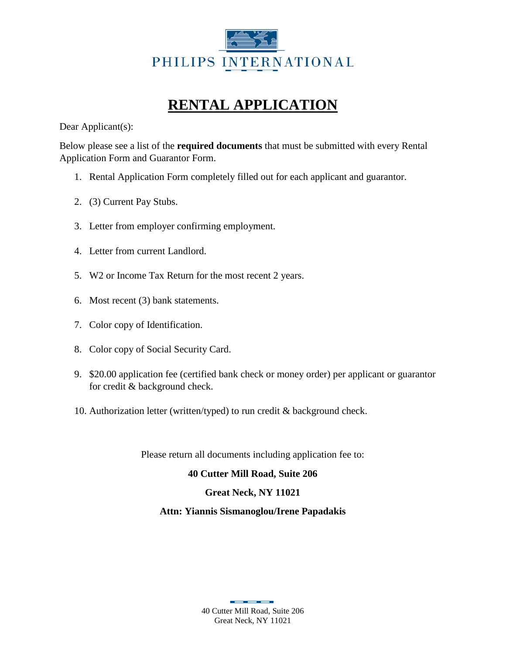

### **RENTAL APPLICATION**

Dear Applicant(s):

Below please see a list of the **required documents** that must be submitted with every Rental Application Form and Guarantor Form.

- 1. Rental Application Form completely filled out for each applicant and guarantor.
- 2. (3) Current Pay Stubs.
- 3. Letter from employer confirming employment.
- 4. Letter from current Landlord.
- 5. W2 or Income Tax Return for the most recent 2 years.
- 6. Most recent (3) bank statements.
- 7. Color copy of Identification.
- 8. Color copy of Social Security Card.
- 9. \$20.00 application fee (certified bank check or money order) per applicant or guarantor for credit & background check.
- 10. Authorization letter (written/typed) to run credit & background check.

Please return all documents including application fee to:

#### **40 Cutter Mill Road, Suite 206**

#### **Great Neck, NY 11021**

#### **Attn: Yiannis Sismanoglou/Irene Papadakis**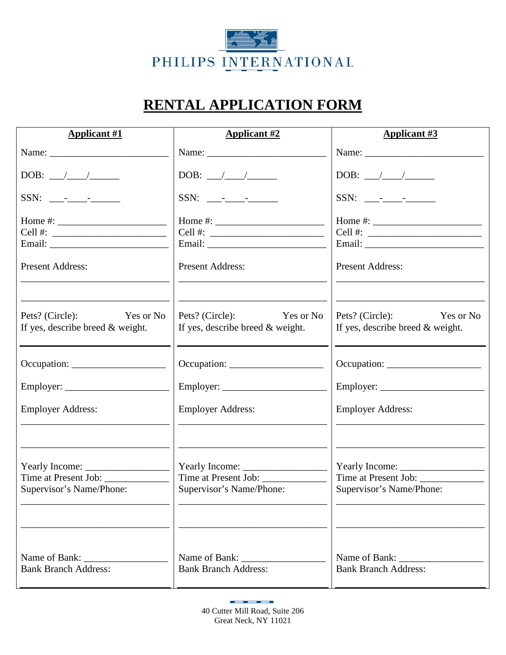

## **RENTAL APPLICATION FORM**

| <b>Applicant #1</b>                                                                                                                                                                                                                                                                                   | <b>Applicant #2</b>                                                                                                                                                                                                                                                                                   | <b>Applicant #3</b>                                                                                                                                                                                                                                                                                   |
|-------------------------------------------------------------------------------------------------------------------------------------------------------------------------------------------------------------------------------------------------------------------------------------------------------|-------------------------------------------------------------------------------------------------------------------------------------------------------------------------------------------------------------------------------------------------------------------------------------------------------|-------------------------------------------------------------------------------------------------------------------------------------------------------------------------------------------------------------------------------------------------------------------------------------------------------|
|                                                                                                                                                                                                                                                                                                       |                                                                                                                                                                                                                                                                                                       |                                                                                                                                                                                                                                                                                                       |
| DOB: $\_\_\_\_\_\_\_\_\_\$                                                                                                                                                                                                                                                                            | DOB: $\_\_\_\_\_\_\_\_\_\$                                                                                                                                                                                                                                                                            |                                                                                                                                                                                                                                                                                                       |
|                                                                                                                                                                                                                                                                                                       |                                                                                                                                                                                                                                                                                                       |                                                                                                                                                                                                                                                                                                       |
| Home #: $\frac{1}{2}$ = $\frac{1}{2}$ = $\frac{1}{2}$ = $\frac{1}{2}$ = $\frac{1}{2}$ = $\frac{1}{2}$ = $\frac{1}{2}$ = $\frac{1}{2}$ = $\frac{1}{2}$ = $\frac{1}{2}$ = $\frac{1}{2}$ = $\frac{1}{2}$ = $\frac{1}{2}$ = $\frac{1}{2}$ = $\frac{1}{2}$ = $\frac{1}{2}$ = $\frac{1}{2}$ = $\frac{1}{2}$ | Home #: $\frac{1}{2}$ = $\frac{1}{2}$ = $\frac{1}{2}$ = $\frac{1}{2}$ = $\frac{1}{2}$ = $\frac{1}{2}$ = $\frac{1}{2}$ = $\frac{1}{2}$ = $\frac{1}{2}$ = $\frac{1}{2}$ = $\frac{1}{2}$ = $\frac{1}{2}$ = $\frac{1}{2}$ = $\frac{1}{2}$ = $\frac{1}{2}$ = $\frac{1}{2}$ = $\frac{1}{2}$ = $\frac{1}{2}$ | Home #: $\frac{1}{2}$ = $\frac{1}{2}$ = $\frac{1}{2}$ = $\frac{1}{2}$ = $\frac{1}{2}$ = $\frac{1}{2}$ = $\frac{1}{2}$ = $\frac{1}{2}$ = $\frac{1}{2}$ = $\frac{1}{2}$ = $\frac{1}{2}$ = $\frac{1}{2}$ = $\frac{1}{2}$ = $\frac{1}{2}$ = $\frac{1}{2}$ = $\frac{1}{2}$ = $\frac{1}{2}$ = $\frac{1}{2}$ |
|                                                                                                                                                                                                                                                                                                       | Cell #: $\qquad \qquad$                                                                                                                                                                                                                                                                               | Cell #: $\qquad \qquad$                                                                                                                                                                                                                                                                               |
|                                                                                                                                                                                                                                                                                                       |                                                                                                                                                                                                                                                                                                       |                                                                                                                                                                                                                                                                                                       |
| <b>Present Address:</b>                                                                                                                                                                                                                                                                               | <b>Present Address:</b>                                                                                                                                                                                                                                                                               | <b>Present Address:</b>                                                                                                                                                                                                                                                                               |
|                                                                                                                                                                                                                                                                                                       |                                                                                                                                                                                                                                                                                                       |                                                                                                                                                                                                                                                                                                       |
| Pets? (Circle):<br>Yes or No<br>If yes, describe breed & weight.                                                                                                                                                                                                                                      | Pets? (Circle): Yes or No<br>If yes, describe breed $\&$ weight.                                                                                                                                                                                                                                      | Pets? (Circle): Yes or No<br>If yes, describe breed & weight.                                                                                                                                                                                                                                         |
|                                                                                                                                                                                                                                                                                                       |                                                                                                                                                                                                                                                                                                       |                                                                                                                                                                                                                                                                                                       |
| $Occupation: \_\_\_\_\_\_\_\_\_\_\_\_\_\_\_\_\_\_\_\_\_\_\_\_\_\_\_\_$                                                                                                                                                                                                                                |                                                                                                                                                                                                                                                                                                       |                                                                                                                                                                                                                                                                                                       |
|                                                                                                                                                                                                                                                                                                       |                                                                                                                                                                                                                                                                                                       |                                                                                                                                                                                                                                                                                                       |
| <b>Employer Address:</b>                                                                                                                                                                                                                                                                              | <b>Employer Address:</b>                                                                                                                                                                                                                                                                              | <b>Employer Address:</b>                                                                                                                                                                                                                                                                              |
|                                                                                                                                                                                                                                                                                                       |                                                                                                                                                                                                                                                                                                       |                                                                                                                                                                                                                                                                                                       |
|                                                                                                                                                                                                                                                                                                       |                                                                                                                                                                                                                                                                                                       |                                                                                                                                                                                                                                                                                                       |
|                                                                                                                                                                                                                                                                                                       |                                                                                                                                                                                                                                                                                                       |                                                                                                                                                                                                                                                                                                       |
| Supervisor's Name/Phone:                                                                                                                                                                                                                                                                              | Supervisor's Name/Phone:                                                                                                                                                                                                                                                                              | Supervisor's Name/Phone:                                                                                                                                                                                                                                                                              |
|                                                                                                                                                                                                                                                                                                       |                                                                                                                                                                                                                                                                                                       |                                                                                                                                                                                                                                                                                                       |
| Name of Bank:                                                                                                                                                                                                                                                                                         | Name of Bank:                                                                                                                                                                                                                                                                                         | Name of Bank:                                                                                                                                                                                                                                                                                         |
| <b>Bank Branch Address:</b>                                                                                                                                                                                                                                                                           | <b>Bank Branch Address:</b>                                                                                                                                                                                                                                                                           | <b>Bank Branch Address:</b>                                                                                                                                                                                                                                                                           |